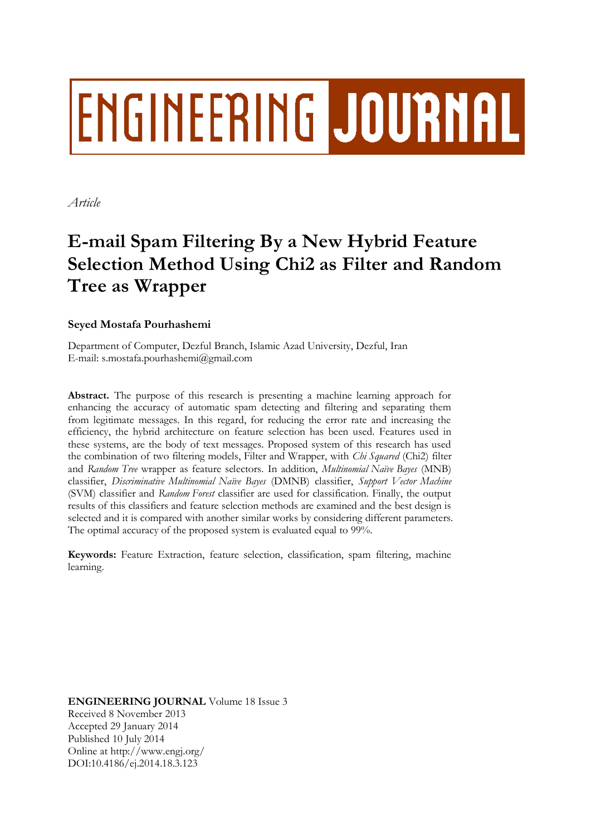# ENGINEERING JOURNAL

*Article*

# **E-mail Spam Filtering By a New Hybrid Feature Selection Method Using Chi2 as Filter and Random Tree as Wrapper**

# **Seyed Mostafa Pourhashemi**

Department of Computer, Dezful Branch, Islamic Azad University, Dezful, Iran E-mail: s.mostafa.pourhashemi@gmail.com

**Abstract.** The purpose of this research is presenting a machine learning approach for enhancing the accuracy of automatic spam detecting and filtering and separating them from legitimate messages. In this regard, for reducing the error rate and increasing the efficiency, the hybrid architecture on feature selection has been used. Features used in these systems, are the body of text messages. Proposed system of this research has used the combination of two filtering models, Filter and Wrapper, with *Chi Squared* (Chi2) filter and *Random Tree* wrapper as feature selectors. In addition, *Multinomial Naïve Bayes* (MNB) classifier, *Discriminative Multinomial Naïve Bayes* (DMNB) classifier, *Support Vector Machine* (SVM) classifier and *Random Forest* classifier are used for classification. Finally, the output results of this classifiers and feature selection methods are examined and the best design is selected and it is compared with another similar works by considering different parameters. The optimal accuracy of the proposed system is evaluated equal to 99%.

**Keywords:** Feature Extraction, feature selection, classification, spam filtering, machine learning.

**ENGINEERING JOURNAL** Volume 18 Issue 3 Received 8 November 2013 Accepted 29 January 2014 Published 10 July 2014 Online at http://www.engj.org/ DOI:10.4186/ej.2014.18.3.123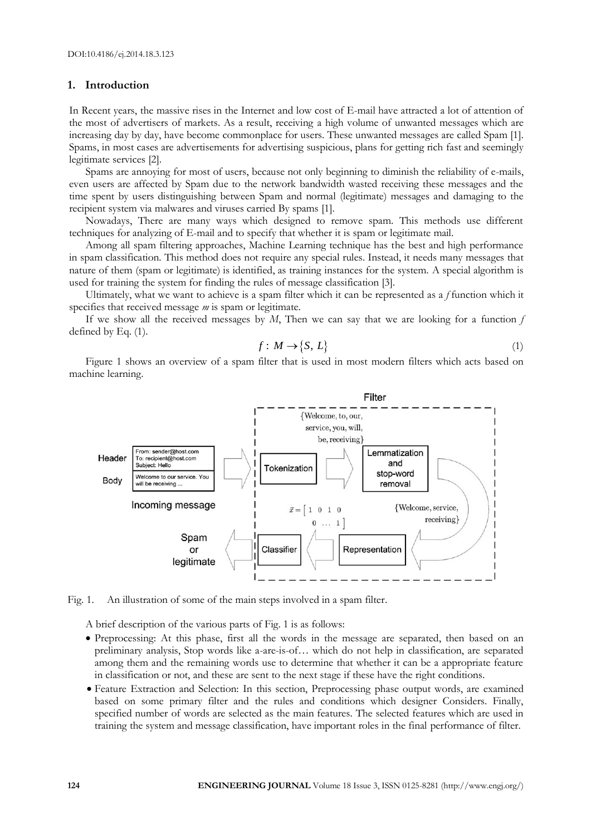# **1. Introduction**

In Recent years, the massive rises in the Internet and low cost of E-mail have attracted a lot of attention of the most of advertisers of markets. As a result, receiving a high volume of unwanted messages which are increasing day by day, have become commonplace for users. These unwanted messages are called Spam [1]. Spams, in most cases are advertisements for advertising suspicious, plans for getting rich fast and seemingly legitimate services [2].

Spams are annoying for most of users, because not only beginning to diminish the reliability of e-mails, even users are affected by Spam due to the network bandwidth wasted receiving these messages and the time spent by users distinguishing between Spam and normal (legitimate) messages and damaging to the recipient system via malwares and viruses carried By spams [1].

Nowadays, There are many ways which designed to remove spam. This methods use different techniques for analyzing of E-mail and to specify that whether it is spam or legitimate mail.

Among all spam filtering approaches, Machine Learning technique has the best and high performance in spam classification. This method does not require any special rules. Instead, it needs many messages that nature of them (spam or legitimate) is identified, as training instances for the system. A special algorithm is used for training the system for finding the rules of message classification [3].

Ultimately, what we want to achieve is a spam filter which it can be represented as a *f* function which it specifies that received message *m* is spam or legitimate.

If we show all the received messages by *M*, Then we can say that we are looking for a function *f* defined by Eq. (1).

$$
f: M \to \{S, L\} \tag{1}
$$

Figure 1 shows an overview of a spam filter that is used in most modern filters which acts based on machine learning.



Fig. 1. An illustration of some of the main steps involved in a spam filter.

A brief description of the various parts of Fig. 1 is as follows:

- Preprocessing: At this phase, first all the words in the message are separated, then based on an preliminary analysis, Stop words like a-are-is-of… which do not help in classification, are separated among them and the remaining words use to determine that whether it can be a appropriate feature in classification or not, and these are sent to the next stage if these have the right conditions.
- Feature Extraction and Selection: In this section, Preprocessing phase output words, are examined based on some primary filter and the rules and conditions which designer Considers. Finally, specified number of words are selected as the main features. The selected features which are used in training the system and message classification, have important roles in the final performance of filter.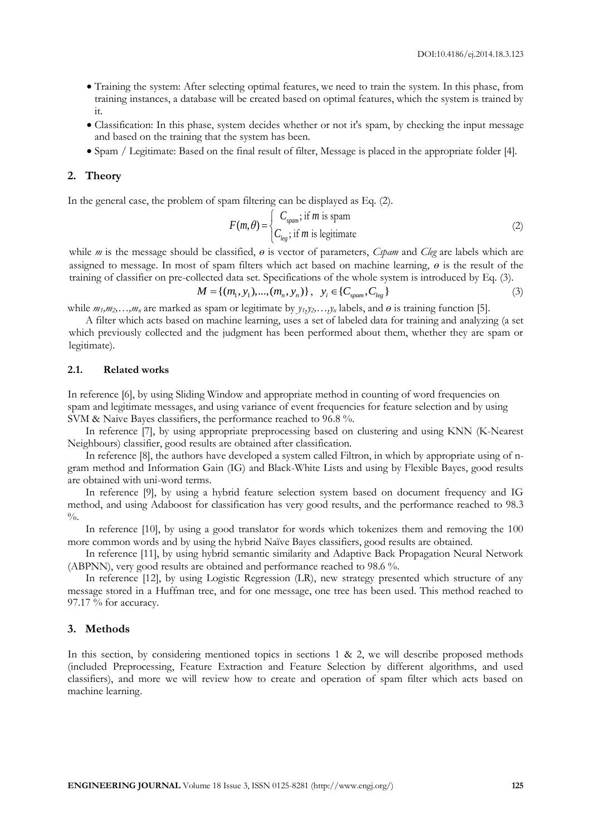- Training the system: After selecting optimal features, we need to train the system. In this phase, from training instances, a database will be created based on optimal features, which the system is trained by it.
- Classification: In this phase, system decides whether or not it's spam, by checking the input message and based on the training that the system has been.
- Spam / Legitimate: Based on the final result of filter, Message is placed in the appropriate folder [4].

# **2. Theory**

In the general case, the problem of spam filtering can be displayed as Eq. (2).<br>  $C_{\text{spam}}$ ; if *m* is spam

$$
F(m,\theta) = \begin{cases} C_{\text{spam}} & \text{if } m \text{ is spam} \\ C_{\text{leg}} & \text{if } m \text{ is legitimate} \end{cases}
$$
 (2)

while *m* is the message should be classified, *ɵ* is vector of parameters, *Cspam* and *Cleg* are labels which are assigned to message. In most of spam filters which act based on machine learning, *ɵ* is the result of the training of classifier on pre-collected data set. Specifications of the whole system is introduced by Eq. (3).

$$
M = \{(m_1, y_1), ..., (m_n, y_n)\}, \quad y_i \in \{C_{spam}, C_{leg}\}\tag{3}
$$

while  $m_1, m_2, \ldots, m_n$  are marked as spam or legitimate by  $y_1, y_2, \ldots, y_n$  labels, and  $\theta$  is training function [5].

A filter which acts based on machine learning, uses a set of labeled data for training and analyzing (a set which previously collected and the judgment has been performed about them, whether they are spam or legitimate).

#### **2.1. Related works**

In reference [6], by using Sliding Window and appropriate method in counting of word frequencies on spam and legitimate messages, and using variance of event frequencies for feature selection and by using SVM & Naive Bayes classifiers, the performance reached to 96.8 %.

In reference [7], by using appropriate preprocessing based on clustering and using KNN (K-Nearest Neighbours) classifier, good results are obtained after classification.

In reference [8], the authors have developed a system called Filtron, in which by appropriate using of ngram method and Information Gain (IG) and Black-White Lists and using by Flexible Bayes, good results are obtained with uni-word terms.

In reference [9], by using a hybrid feature selection system based on document frequency and IG method, and using Adaboost for classification has very good results, and the performance reached to 98.3  $\frac{0}{6}$ .

In reference [10], by using a good translator for words which tokenizes them and removing the 100 more common words and by using the hybrid Naïve Bayes classifiers, good results are obtained.

In reference [11], by using hybrid semantic similarity and Adaptive Back Propagation Neural Network (ABPNN), very good results are obtained and performance reached to 98.6 %.

In reference [12], by using Logistic Regression (LR), new strategy presented which structure of any message stored in a Huffman tree, and for one message, one tree has been used. This method reached to 97.17 % for accuracy.

## **3. Methods**

In this section, by considering mentioned topics in sections  $1 \& 2$ , we will describe proposed methods (included Preprocessing, Feature Extraction and Feature Selection by different algorithms, and used classifiers), and more we will review how to create and operation of spam filter which acts based on machine learning.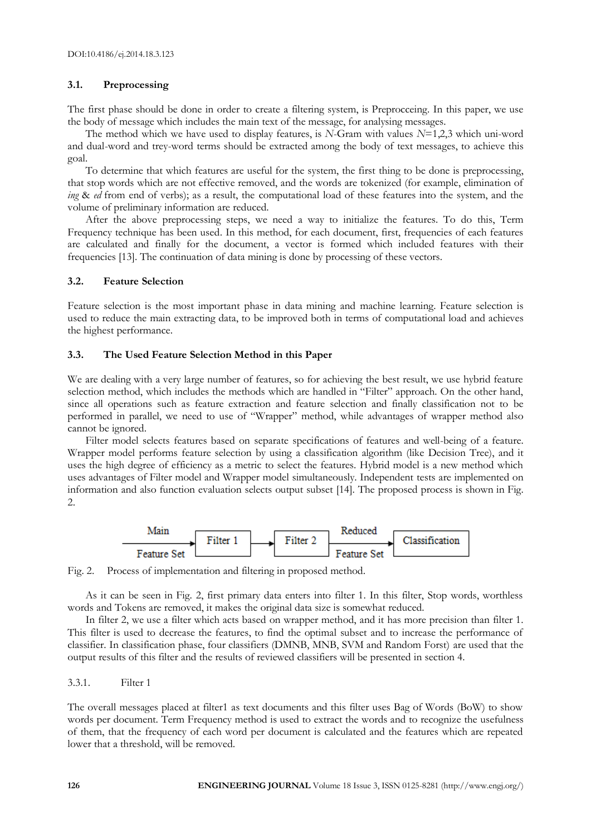# **3.1. Preprocessing**

The first phase should be done in order to create a filtering system, is Preprocceing. In this paper, we use the body of message which includes the main text of the message, for analysing messages.

The method which we have used to display features, is *N*-Gram with values *N*=1,2,3 which uni-word and dual-word and trey-word terms should be extracted among the body of text messages, to achieve this goal.

To determine that which features are useful for the system, the first thing to be done is preprocessing, that stop words which are not effective removed, and the words are tokenized (for example, elimination of *ing* & *ed* from end of verbs); as a result, the computational load of these features into the system, and the volume of preliminary information are reduced.

After the above preprocessing steps, we need a way to initialize the features. To do this, Term Frequency technique has been used. In this method, for each document, first, frequencies of each features are calculated and finally for the document, a vector is formed which included features with their frequencies [13]. The continuation of data mining is done by processing of these vectors.

## **3.2. Feature Selection**

Feature selection is the most important phase in data mining and machine learning. Feature selection is used to reduce the main extracting data, to be improved both in terms of computational load and achieves the highest performance.

# **3.3. The Used Feature Selection Method in this Paper**

We are dealing with a very large number of features, so for achieving the best result, we use hybrid feature selection method, which includes the methods which are handled in "Filter" approach. On the other hand, since all operations such as feature extraction and feature selection and finally classification not to be performed in parallel, we need to use of "Wrapper" method, while advantages of wrapper method also cannot be ignored.

Filter model selects features based on separate specifications of features and well-being of a feature. Wrapper model performs feature selection by using a classification algorithm (like Decision Tree), and it uses the high degree of efficiency as a metric to select the features. Hybrid model is a new method which uses advantages of Filter model and Wrapper model simultaneously. Independent tests are implemented on information and also function evaluation selects output subset [14]. The proposed process is shown in Fig. 2.



Fig. 2. Process of implementation and filtering in proposed method.

As it can be seen in Fig. 2, first primary data enters into filter 1. In this filter, Stop words, worthless words and Tokens are removed, it makes the original data size is somewhat reduced.

In filter 2, we use a filter which acts based on wrapper method, and it has more precision than filter 1. This filter is used to decrease the features, to find the optimal subset and to increase the performance of classifier. In classification phase, four classifiers (DMNB, MNB, SVM and Random Forst) are used that the output results of this filter and the results of reviewed classifiers will be presented in section 4.

# 3.3.1. Filter 1

The overall messages placed at filter1 as text documents and this filter uses Bag of Words (BoW) to show words per document. Term Frequency method is used to extract the words and to recognize the usefulness of them, that the frequency of each word per document is calculated and the features which are repeated lower that a threshold, will be removed.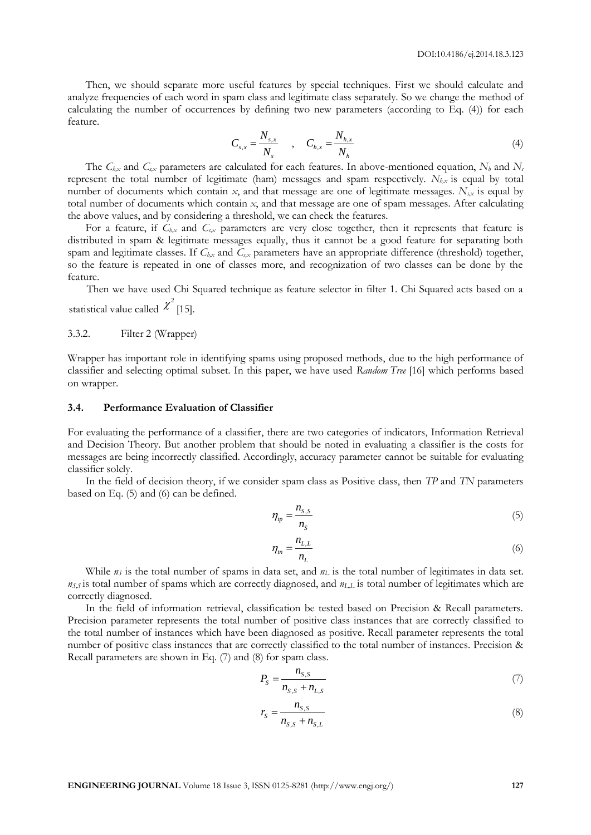Then, we should separate more useful features by special techniques. First we should calculate and analyze frequencies of each word in spam class and legitimate class separately. So we change the method of calculating the number of occurrences by defining two new parameters (according to Eq. (4)) for each feature.

$$
C_{s,x} = \frac{N_{s,x}}{N_s} \qquad , \qquad C_{h,x} = \frac{N_{h,x}}{N_h} \tag{4}
$$

The *Ch,x* and *Cs,x* parameters are calculated for each features. In above-mentioned equation, *N<sup>h</sup>* and *N<sup>s</sup>* represent the total number of legitimate (ham) messages and spam respectively. *Nh,x* is equal by total number of documents which contain *x*, and that message are one of legitimate messages.  $N_{s,x}$  is equal by total number of documents which contain *x*, and that message are one of spam messages. After calculating the above values, and by considering a threshold, we can check the features.

For a feature, if *Ch,x* and *Cs,x* parameters are very close together, then it represents that feature is distributed in spam & legitimate messages equally, thus it cannot be a good feature for separating both spam and legitimate classes. If  $C_{hx}$  and  $C_{sx}$  parameters have an appropriate difference (threshold) together, so the feature is repeated in one of classes more, and recognization of two classes can be done by the feature.

Then we have used Chi Squared technique as feature selector in filter 1. Chi Squared acts based on a statistical value called  $\chi^2$  [15].

### 3.3.2. Filter 2 (Wrapper)

Wrapper has important role in identifying spams using proposed methods, due to the high performance of classifier and selecting optimal subset. In this paper, we have used *Random Tree* [16] which performs based on wrapper.

# **3.4. Performance Evaluation of Classifier**

For evaluating the performance of a classifier, there are two categories of indicators, Information Retrieval and Decision Theory. But another problem that should be noted in evaluating a classifier is the costs for messages are being incorrectly classified. Accordingly, accuracy parameter cannot be suitable for evaluating classifier solely.

In the field of decision theory, if we consider spam class as Positive class, then *TP* and *TN* parameters based on Eq. (5) and (6) can be defined.

$$
\eta_p = \frac{n_{s,s}}{n_s} \tag{5}
$$

$$
\eta_m = \frac{n_{L,L}}{n_L} \tag{6}
$$

While  $n<sub>S</sub>$  is the total number of spams in data set, and  $n<sub>L</sub>$  is the total number of legitimates in data set. *nS,S* is total number of spams which are correctly diagnosed, and *nL,L* is total number of legitimates which are correctly diagnosed.

In the field of information retrieval, classification be tested based on Precision & Recall parameters. Precision parameter represents the total number of positive class instances that are correctly classified to the total number of instances which have been diagnosed as positive. Recall parameter represents the total number of positive class instances that are correctly classified to the total number of instances. Precision & Recall parameters are shown in Eq. (7) and (8) for spam class.

$$
P_{S} = \frac{n_{S,S}}{n_{S,S} + n_{L,S}}
$$
(7)

$$
r_{S} = \frac{n_{S,S}}{n_{S,S} + n_{S,L}}
$$
\n(8)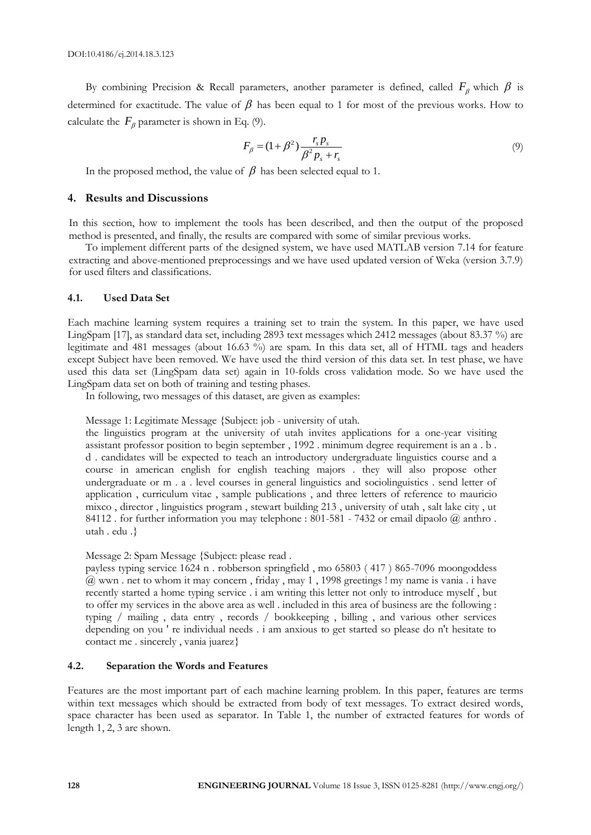By combining Precision & Recall parameters, another parameter is defined, called  $F_\beta$  which  $\beta$  is determined for exactitude. The value of  $\beta$  has been equal to 1 for most of the previous works. How to calculate the  $F_{\beta}$  parameter is shown in Eq. (9).

$$
F_{\beta} = (1 + \beta^2) \frac{r_s p_s}{\beta^2 p_s + r_s} \tag{9}
$$

In the proposed method, the value of  $\,\beta\,$  has been selected equal to 1.

#### **4. Results and Discussions**

In this section, how to implement the tools has been described, and then the output of the proposed method is presented, and finally, the results are compared with some of similar previous works.

To implement different parts of the designed system, we have used MATLAB version 7.14 for feature extracting and above-mentioned preprocessings and we have used updated version of Weka (version 3.7.9) for used filters and classifications.

#### **4.1. Used Data Set**

Each machine learning system requires a training set to train the system. In this paper, we have used LingSpam [17], as standard data set, including 2893 text messages which 2412 messages (about 83.37 %) are legitimate and 481 messages (about 16.63 %) are spam. In this data set, all of HTML tags and headers except Subject have been removed. We have used the third version of this data set. In test phase, we have used this data set (LingSpam data set) again in 10-folds cross validation mode. So we have used the LingSpam data set on both of training and testing phases.

In following, two messages of this dataset, are given as examples:

Message 1: Legitimate Message {Subject: job - university of utah.

the linguistics program at the university of utah invites applications for a one-year visiting assistant professor position to begin september , 1992 . minimum degree requirement is an a . b . d . candidates will be expected to teach an introductory undergraduate linguistics course and a course in american english for english teaching majors . they will also propose other undergraduate or m . a . level courses in general linguistics and sociolinguistics . send letter of application , curriculum vitae , sample publications , and three letters of reference to mauricio mixco , director , linguistics program , stewart building 213 , university of utah , salt lake city , ut 84112 . for further information you may telephone : 801-581 - 7432 or email dipaolo @ anthro . utah . edu .}

#### Message 2: Spam Message {Subject: please read .

payless typing service 1624 n . robberson springfield , mo 65803 ( 417 ) 865-7096 moongoddess @ wwn . net to whom it may concern , friday , may 1 , 1998 greetings ! my name is vania . i have recently started a home typing service . i am writing this letter not only to introduce myself , but to offer my services in the above area as well . included in this area of business are the following : typing / mailing , data entry , records / bookkeeping , billing , and various other services depending on you ' re individual needs . i am anxious to get started so please do n't hesitate to contact me . sincerely , vania juarez}

# **4.2. Separation the Words and Features**

Features are the most important part of each machine learning problem. In this paper, features are terms within text messages which should be extracted from body of text messages. To extract desired words, space character has been used as separator. In Table 1, the number of extracted features for words of length 1, 2, 3 are shown.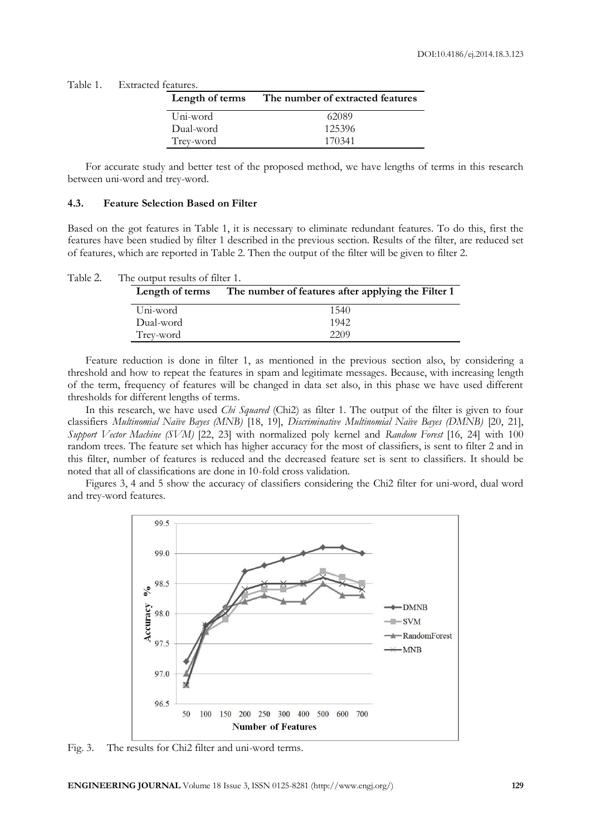| Length of terms | The number of extracted features |
|-----------------|----------------------------------|
| Uni-word        | 62089                            |
| Dual-word       | 125396                           |
| Trey-word       | 170341                           |

For accurate study and better test of the proposed method, we have lengths of terms in this research between uni-word and trey-word.

#### **4.3. Feature Selection Based on Filter**

Based on the got features in Table 1, it is necessary to eliminate redundant features. To do this, first the features have been studied by filter 1 described in the previous section. Results of the filter, are reduced set of features, which are reported in Table 2. Then the output of the filter will be given to filter 2.

| Table 2. | The output results of filter 1. |                                                                    |
|----------|---------------------------------|--------------------------------------------------------------------|
|          |                                 | Length of terms The number of features after applying the Filter 1 |
|          | Uni-word                        | 1540                                                               |
|          | Dual-word                       | 1942                                                               |
|          | Trey-word                       | 2209                                                               |

Feature reduction is done in filter 1, as mentioned in the previous section also, by considering a threshold and how to repeat the features in spam and legitimate messages. Because, with increasing length of the term, frequency of features will be changed in data set also, in this phase we have used different thresholds for different lengths of terms.

In this research, we have used *Chi Squared* (Chi2) as filter 1. The output of the filter is given to four classifiers *Multinomial Naïve Bayes (MNB)* [18, 19], *Discriminative Multinomial Naïve Bayes (DMNB)* [20, 21], *Support Vector Machine (SVM)* [22, 23] with normalized poly kernel and *Random Forest* [16, 24] with 100 random trees. The feature set which has higher accuracy for the most of classifiers, is sent to filter 2 and in this filter, number of features is reduced and the decreased feature set is sent to classifiers. It should be noted that all of classifications are done in 10-fold cross validation.

Figures 3, 4 and 5 show the accuracy of classifiers considering the Chi2 filter for uni-word, dual word and trey-word features.



Fig. 3. The results for Chi2 filter and uni-word terms.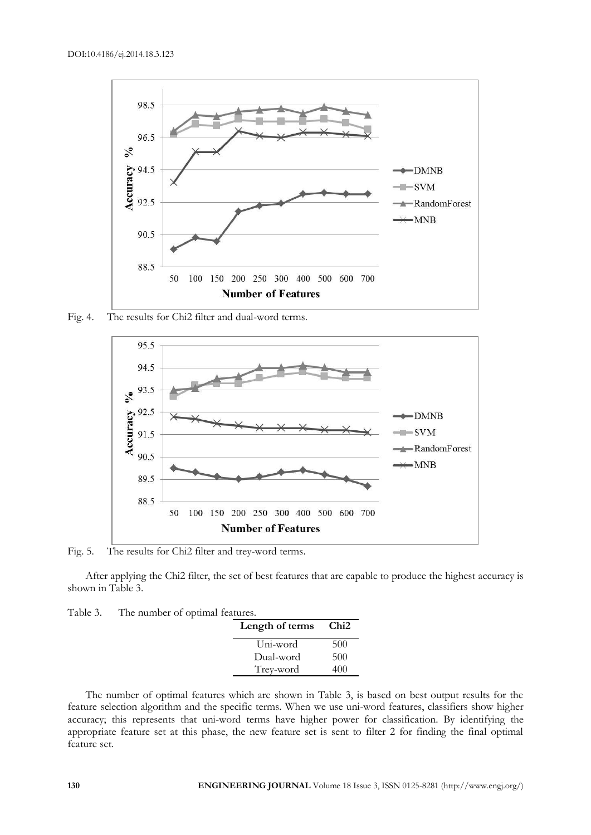

Fig. 4. The results for Chi2 filter and dual-word terms.



Fig. 5. The results for Chi2 filter and trey-word terms.

After applying the Chi2 filter, the set of best features that are capable to produce the highest accuracy is shown in Table 3.

Table 3. The number of optimal features.

| Length of terms | Chi2 |
|-----------------|------|
| Uni-word        | 500  |
| Dual-word       | 500  |
| Trey-word       | 40O  |

The number of optimal features which are shown in Table 3, is based on best output results for the feature selection algorithm and the specific terms. When we use uni-word features, classifiers show higher accuracy; this represents that uni-word terms have higher power for classification. By identifying the appropriate feature set at this phase, the new feature set is sent to filter 2 for finding the final optimal feature set.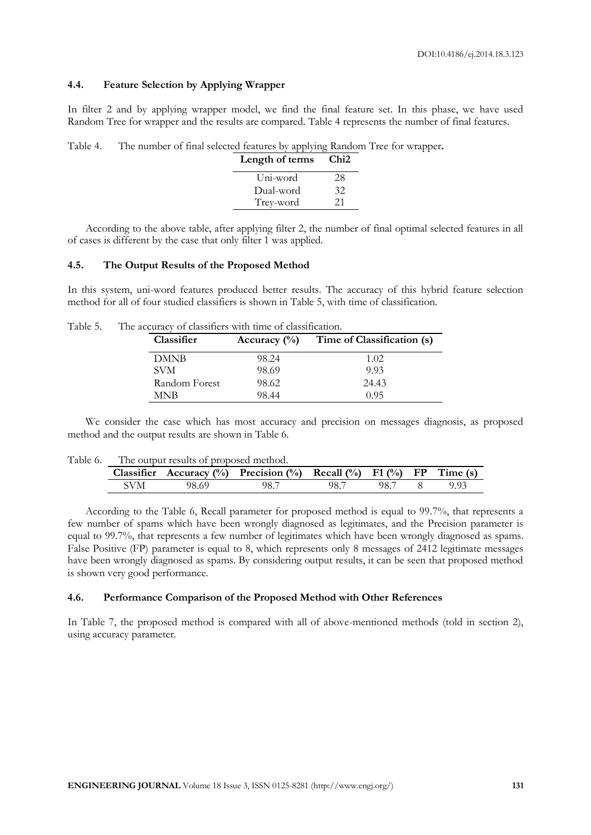# **4.4. Feature Selection by Applying Wrapper**

In filter 2 and by applying wrapper model, we find the final feature set. In this phase, we have used Random Tree for wrapper and the results are compared. Table 4 represents the number of final features.

Table 4. The number of final selected features by applying Random Tree for wrapper**.**

| Length of terms | Chi2 |
|-----------------|------|
| Uni-word        | 28   |
| Dual-word       | 32   |
| Trey-word       | 21   |

According to the above table, after applying filter 2, the number of final optimal selected features in all of cases is different by the case that only filter 1 was applied.

#### **4.5. The Output Results of the Proposed Method**

In this system, uni-word features produced better results. The accuracy of this hybrid feature selection method for all of four studied classifiers is shown in Table 5, with time of classification.

|  | Classifier    |       | Accuracy $(\%)$ Time of Classification (s) |
|--|---------------|-------|--------------------------------------------|
|  | <b>DMNB</b>   | 98.24 | 1.02                                       |
|  | <b>SVM</b>    | 98.69 | 9.93                                       |
|  | Random Forest | 98.62 | 24.43                                      |
|  | MNB           | 98.44 | 0.95                                       |

We consider the case which has most accuracy and precision on messages diagnosis, as proposed method and the output results are shown in Table 6.

| Table 6. The output results of proposed method. |       |                                                                     |      |      |  |      |
|-------------------------------------------------|-------|---------------------------------------------------------------------|------|------|--|------|
|                                                 |       | Classifier Accuracy (%) Precision (%) Recall (%) F1 (%) FP Time (s) |      |      |  |      |
| SVM                                             | 98.69 | 98.7                                                                | 98.7 | 98.7 |  | 9.93 |

According to the Table 6, Recall parameter for proposed method is equal to 99.7%, that represents a few number of spams which have been wrongly diagnosed as legitimates, and the Precision parameter is equal to 99.7%, that represents a few number of legitimates which have been wrongly diagnosed as spams. False Positive (FP) parameter is equal to 8, which represents only 8 messages of 2412 legitimate messages have been wrongly diagnosed as spams. By considering output results, it can be seen that proposed method is shown very good performance.

## **4.6. Performance Comparison of the Proposed Method with Other References**

In Table 7, the proposed method is compared with all of above-mentioned methods (told in section 2), using accuracy parameter.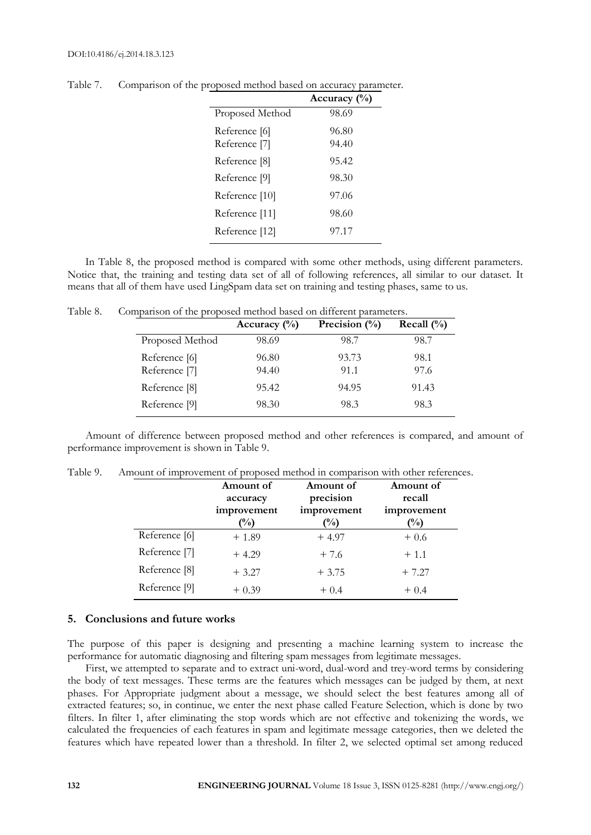|                          | Accuracy (%) |
|--------------------------|--------------|
| Proposed Method          | 98.69        |
| Reference [6]            | 96.80        |
| Reference <sup>[7]</sup> | 94.40        |
| Reference <sup>[8]</sup> | 95.42        |
| Reference [9]            | 98.30        |
| Reference [10]           | 97.06        |
| Reference [11]           | 98.60        |
| Reference [12]           | 97.17        |

Table 7. Comparison of the proposed method based on accuracy parameter.

In Table 8, the proposed method is compared with some other methods, using different parameters. Notice that, the training and testing data set of all of following references, all similar to our dataset. It means that all of them have used LingSpam data set on training and testing phases, same to us.

|                                | Accuracy $\binom{0}{0}$ | Precision $(\%)$ | Recall $(\% )$ |
|--------------------------------|-------------------------|------------------|----------------|
| Proposed Method                | 98.69                   | 98.7             | 98.7           |
| Reference [6]<br>Reference [7] | 96.80<br>94.40          | 93.73<br>91.1    | 98.1<br>97.6   |
| Reference [8]                  | 95.42                   | 94.95            | 91.43          |
| Reference [9]                  | 98.30                   | 98.3             | 98.3           |

Table 8. Comparison of the proposed method based on different parameters.

Amount of difference between proposed method and other references is compared, and amount of performance improvement is shown in Table 9.

|               | Amount of<br>accuracy         | Amount of<br>precision       | Amount of<br>recall           |
|---------------|-------------------------------|------------------------------|-------------------------------|
|               | improvement<br>$\binom{0}{0}$ | improvement<br>$\frac{1}{2}$ | improvement<br>$\binom{0}{0}$ |
| Reference [6] | $+1.89$                       | $+4.97$                      | $+0.6$                        |
| Reference [7] | $+4.29$                       | $+7.6$                       | $+1.1$                        |
| Reference [8] | $+3.27$                       | $+3.75$                      | $+7.27$                       |
| Reference [9] | $+0.39$                       | $+0.4$                       | $+0.4$                        |

# **5. Conclusions and future works**

The purpose of this paper is designing and presenting a machine learning system to increase the performance for automatic diagnosing and filtering spam messages from legitimate messages.

First, we attempted to separate and to extract uni-word, dual-word and trey-word terms by considering the body of text messages. These terms are the features which messages can be judged by them, at next phases. For Appropriate judgment about a message, we should select the best features among all of extracted features; so, in continue, we enter the next phase called Feature Selection, which is done by two filters. In filter 1, after eliminating the stop words which are not effective and tokenizing the words, we calculated the frequencies of each features in spam and legitimate message categories, then we deleted the features which have repeated lower than a threshold. In filter 2, we selected optimal set among reduced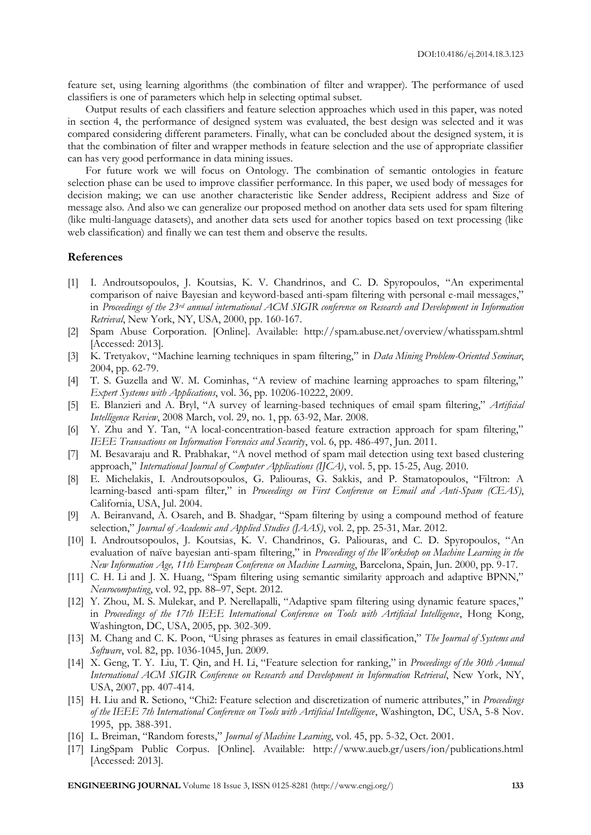feature set, using learning algorithms (the combination of filter and wrapper). The performance of used classifiers is one of parameters which help in selecting optimal subset.

Output results of each classifiers and feature selection approaches which used in this paper, was noted in section 4, the performance of designed system was evaluated, the best design was selected and it was compared considering different parameters. Finally, what can be concluded about the designed system, it is that the combination of filter and wrapper methods in feature selection and the use of appropriate classifier can has very good performance in data mining issues.

For future work we will focus on Ontology. The combination of semantic ontologies in feature selection phase can be used to improve classifier performance. In this paper, we used body of messages for decision making; we can use another characteristic like Sender address, Recipient address and Size of message also. And also we can generalize our proposed method on another data sets used for spam filtering (like multi-language datasets), and another data sets used for another topics based on text processing (like web classification) and finally we can test them and observe the results.

# **References**

- [1] I. Androutsopoulos, J. Koutsias, K. V. Chandrinos, and C. D. Spyropoulos, "An experimental comparison of naive Bayesian and keyword-based anti-spam filtering with personal e-mail messages," in *Proceedings of the 23rd annual international ACM SIGIR conference on Research and Development in Information Retrieval*, New York, NY, USA, 2000, pp. 160-167.
- [2] Spam Abuse Corporation. [Online]. Available: http://spam.abuse.net/overview/whatisspam.shtml [Accessed: 2013].
- [3] K. Tretyakov, "Machine learning techniques in spam filtering," in *Data Mining Problem-Oriented Seminar*, 2004, pp. 62-79.
- [4] T. S. Guzella and W. M. Cominhas, "A review of machine learning approaches to spam filtering," *Expert Systems with Applications*, vol. 36, pp. 10206-10222, 2009.
- [5] E. Blanzieri and A. Bryl, "A survey of learning-based techniques of email spam filtering," *Artificial Intelligence Review*, 2008 March, vol. 29, no. 1, pp. 63-92, Mar. 2008.
- [6] Y. Zhu and Y. Tan, "A local-concentration-based feature extraction approach for spam filtering," *IEEE Transactions on Information Forencics and Security*, vol. 6, pp. 486-497, Jun. 2011.
- [7] M. Besavaraju and R. Prabhakar, "A novel method of spam mail detection using text based clustering approach," *International Journal of Computer Applications (IJCA)*, vol. 5, pp. 15-25, Aug. 2010.
- [8] E. Michelakis, I. Androutsopoulos, G. Paliouras, G. Sakkis, and P. Stamatopoulos, "Filtron: A learning-based anti-spam filter," in *Proceedings on First Conference on Email and Anti-Spam (CEAS)*, California, USA, Jul. 2004.
- [9] A. Beiranvand, A. Osareh, and B. Shadgar, "Spam filtering by using a compound method of feature selection," *Journal of Academic and Applied Studies (JAAS)*, vol. 2, pp. 25-31, Mar. 2012.
- [10] I. Androutsopoulos, J. Koutsias, K. V. Chandrinos, G. Paliouras, and C. D. Spyropoulos, "An evaluation of naïve bayesian anti-spam filtering," in *Proceedings of the Workshop on Machine Learning in the New Information Age, 11th European Conference on Machine Learning*, Barcelona, Spain, Jun. 2000, pp. 9-17.
- [11] C. H. Li and J. X. Huang, "Spam filtering using semantic similarity approach and adaptive BPNN," *Neurocomputing*, vol. 92, pp. 88–97, Sept. 2012.
- [12] Y. Zhou, M. S. Mulekar, and P. Nerellapalli, "Adaptive spam filtering using dynamic feature spaces," in *Proceedings of the 17th IEEE International Conference on Tools with Artificial Intelligence*, Hong Kong, Washington, DC, USA, 2005, pp. 302-309.
- [13] M. Chang and C. K. Poon, "Using phrases as features in email classification," *The Journal of Systems and Software*, vol. 82, pp. 1036-1045, Jun. 2009.
- [14] X. Geng, T. Y. Liu, T. Qin, and H. Li, "Feature selection for ranking," in *Proceedings of the 30th Annual International ACM SIGIR Conference on Research and Development in Information Retrieval*, New York, NY, USA, 2007, pp. 407-414.
- [15] H. Liu and R. Setiono, "Chi2: Feature selection and discretization of numeric attributes," in *Proceedings of the IEEE 7th International Conference on Tools with Artificial Intelligence*, Washington, DC, USA, 5-8 Nov. 1995, pp. 388-391.
- [16] L. Breiman, "Random forests," *Journal of Machine Learning*, vol. 45, pp. 5-32, Oct. 2001.
- [17] LingSpam Public Corpus. [Online]. Available: http://www.aueb.gr/users/ion/publications.html [Accessed: 2013].

**ENGINEERING JOURNAL** Volume 18 Issue 3, ISSN 0125-8281 (http://www.engj.org/) **133**